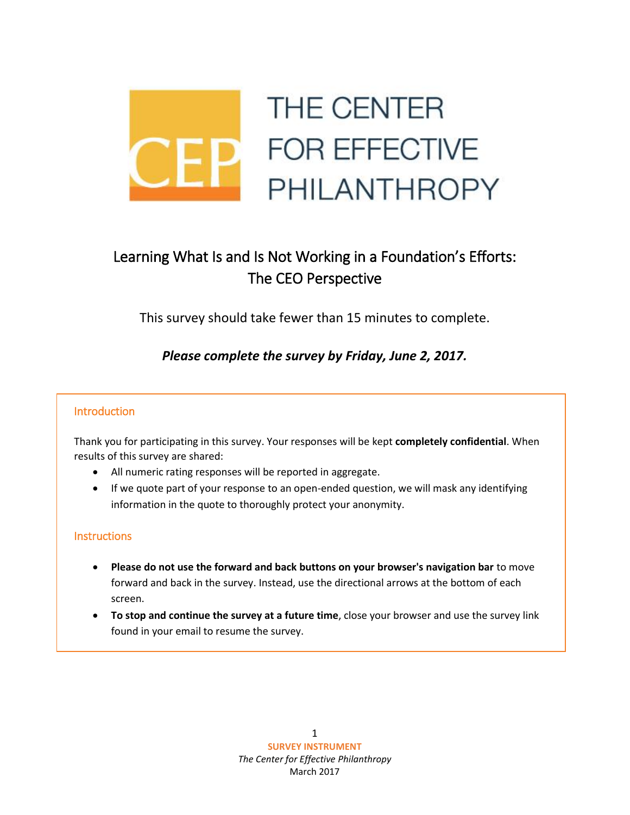

# Learning What Is and Is Not Working in a Foundation's Efforts: The CEO Perspective

This survey should take fewer than 15 minutes to complete.

## *Please complete the survey by Friday, June 2, 2017.*

### Introduction

Thank you for participating in this survey. Your responses will be kept **completely confidential**. When results of this survey are shared:

- All numeric rating responses will be reported in aggregate.
- If we quote part of your response to an open-ended question, we will mask any identifying information in the quote to thoroughly protect your anonymity.

### **Instructions**

- **Please do not use the forward and back buttons on your browser's navigation bar** to move forward and back in the survey. Instead, use the directional arrows at the bottom of each screen.
- **To stop and continue the survey at a future time**, close your browser and use the survey link found in your email to resume the survey.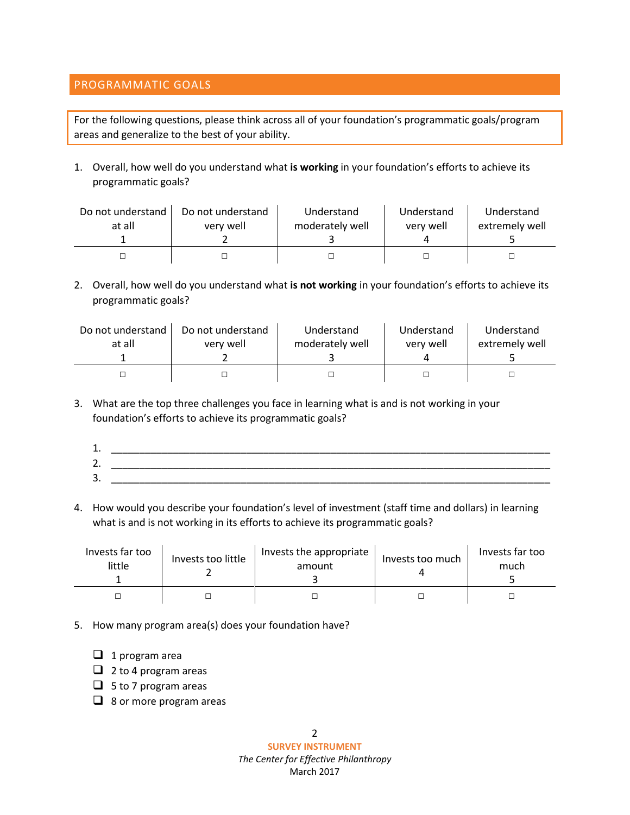#### PROGRAMMATIC GOALS

For the following questions, please think across all of your foundation's programmatic goals/program areas and generalize to the best of your ability.

1. Overall, how well do you understand what **is working** in your foundation's efforts to achieve its programmatic goals?

| Do not understand<br>at all | Do not understand<br>very well | Understand<br>moderately well | Understand<br>very well | Understand<br>extremely well |
|-----------------------------|--------------------------------|-------------------------------|-------------------------|------------------------------|
|                             |                                |                               |                         |                              |
|                             |                                |                               |                         |                              |

2. Overall, how well do you understand what **is not working** in your foundation's efforts to achieve its programmatic goals?

| Do not understand | Do not understand | Understand      | Understand | Understand     |
|-------------------|-------------------|-----------------|------------|----------------|
| at all            | very well         | moderately well | very well  | extremely well |
|                   |                   |                 |            |                |

3. What are the top three challenges you face in learning what is and is not working in your foundation's efforts to achieve its programmatic goals?

| ∸.           |   |
|--------------|---|
| ∽<br>,<br>ـ. | _ |
| ∽<br>≺<br>J. |   |

4. How would you describe your foundation's level of investment (staff time and dollars) in learning what is and is not working in its efforts to achieve its programmatic goals?

| Invests far too<br>little | Invests too little | Invests the appropriate<br>amount | Invests too much | Invests far too<br>much |
|---------------------------|--------------------|-----------------------------------|------------------|-------------------------|
|                           |                    |                                   |                  |                         |

- 5. How many program area(s) does your foundation have?
	- $\Box$  1 program area
	- $\Box$  2 to 4 program areas
	- $\Box$  5 to 7 program areas
	- $\Box$  8 or more program areas

**SURVEY INSTRUMENT** *The Center for Effective Philanthropy* March 2017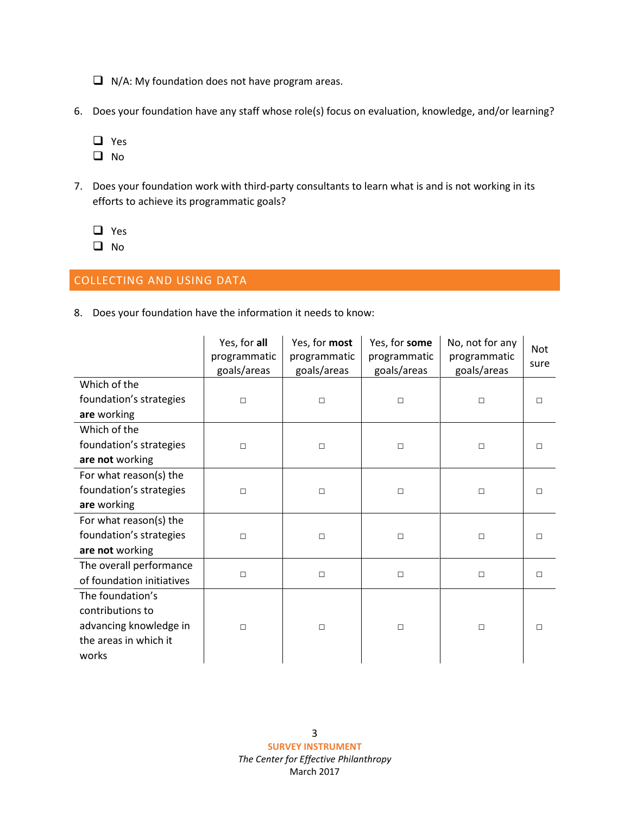- $\Box$  N/A: My foundation does not have program areas.
- 6. Does your foundation have any staff whose role(s) focus on evaluation, knowledge, and/or learning?
	- □ Yes
	- $\Box$  No
- 7. Does your foundation work with third-party consultants to learn what is and is not working in its efforts to achieve its programmatic goals?
	- □ Yes
	- $\Box$  No

## COLLECTING AND USING DATA

8. Does your foundation have the information it needs to know:

|                           | Yes, for all<br>programmatic<br>goals/areas | Yes, for most<br>programmatic<br>goals/areas | Yes, for some<br>programmatic<br>goals/areas | No, not for any<br>programmatic<br>goals/areas | <b>Not</b><br>sure |
|---------------------------|---------------------------------------------|----------------------------------------------|----------------------------------------------|------------------------------------------------|--------------------|
| Which of the              |                                             |                                              |                                              |                                                |                    |
| foundation's strategies   | $\Box$                                      | $\Box$                                       | $\Box$                                       | $\Box$                                         | П                  |
| are working               |                                             |                                              |                                              |                                                |                    |
| Which of the              |                                             |                                              |                                              |                                                |                    |
| foundation's strategies   | □                                           | $\Box$                                       | $\Box$                                       | $\Box$                                         | П                  |
| are not working           |                                             |                                              |                                              |                                                |                    |
| For what reason(s) the    |                                             |                                              |                                              |                                                |                    |
| foundation's strategies   | $\Box$                                      | $\Box$                                       | $\Box$                                       | $\Box$                                         | П                  |
| are working               |                                             |                                              |                                              |                                                |                    |
| For what reason(s) the    |                                             |                                              |                                              |                                                |                    |
| foundation's strategies   | $\Box$                                      | $\Box$                                       | $\Box$                                       | □                                              | П                  |
| are not working           |                                             |                                              |                                              |                                                |                    |
| The overall performance   |                                             |                                              |                                              |                                                |                    |
| of foundation initiatives | $\Box$                                      | $\Box$                                       | $\Box$                                       | $\Box$                                         | $\Box$             |
| The foundation's          |                                             |                                              |                                              |                                                |                    |
| contributions to          |                                             |                                              |                                              |                                                |                    |
| advancing knowledge in    | П                                           | $\Box$                                       | $\Box$                                       | П                                              | П                  |
| the areas in which it     |                                             |                                              |                                              |                                                |                    |
| works                     |                                             |                                              |                                              |                                                |                    |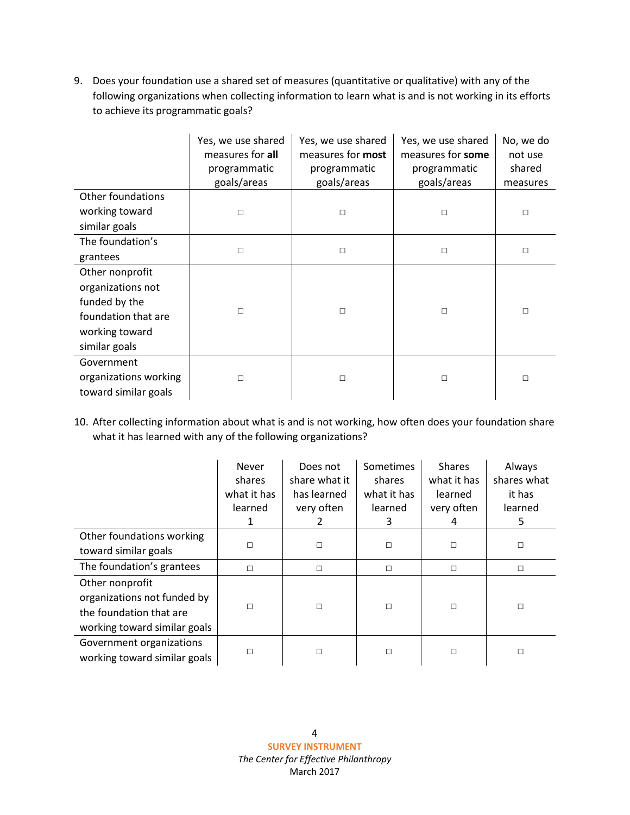9. Does your foundation use a shared set of measures (quantitative or qualitative) with any of the following organizations when collecting information to learn what is and is not working in its efforts to achieve its programmatic goals?

|                                                             | Yes, we use shared<br>measures for all<br>programmatic<br>goals/areas | Yes, we use shared<br>measures for most<br>programmatic<br>goals/areas | Yes, we use shared<br>measures for some<br>programmatic<br>goals/areas | No, we do<br>not use<br>shared<br>measures |
|-------------------------------------------------------------|-----------------------------------------------------------------------|------------------------------------------------------------------------|------------------------------------------------------------------------|--------------------------------------------|
| Other foundations                                           |                                                                       |                                                                        |                                                                        |                                            |
| working toward                                              | $\Box$                                                                | $\Box$                                                                 | П                                                                      | $\Box$                                     |
| similar goals                                               |                                                                       |                                                                        |                                                                        |                                            |
| The foundation's                                            | $\Box$                                                                | $\Box$                                                                 | □                                                                      | □                                          |
| grantees                                                    |                                                                       |                                                                        |                                                                        |                                            |
| Other nonprofit                                             |                                                                       |                                                                        |                                                                        |                                            |
| organizations not                                           |                                                                       |                                                                        |                                                                        |                                            |
| funded by the                                               | $\Box$                                                                | $\Box$                                                                 | $\Box$                                                                 | П                                          |
| foundation that are                                         |                                                                       |                                                                        |                                                                        |                                            |
| working toward                                              |                                                                       |                                                                        |                                                                        |                                            |
| similar goals                                               |                                                                       |                                                                        |                                                                        |                                            |
| Government<br>organizations working<br>toward similar goals | $\Box$                                                                | $\Box$                                                                 | П                                                                      | □                                          |

10. After collecting information about what is and is not working, how often does your foundation share what it has learned with any of the following organizations?

|                                                                                                           | Never<br>shares<br>what it has<br>learned | Does not<br>share what it<br>has learned<br>very often | Sometimes<br>shares<br>what it has<br>learned<br>3 | <b>Shares</b><br>what it has<br>learned<br>very often<br>4 | Always<br>shares what<br>it has<br>learned<br>5 |
|-----------------------------------------------------------------------------------------------------------|-------------------------------------------|--------------------------------------------------------|----------------------------------------------------|------------------------------------------------------------|-------------------------------------------------|
| Other foundations working                                                                                 | □                                         | $\Box$                                                 | $\Box$                                             | $\Box$                                                     | □                                               |
| toward similar goals                                                                                      |                                           |                                                        |                                                    |                                                            |                                                 |
| The foundation's grantees                                                                                 | $\Box$                                    | □                                                      | $\Box$                                             | $\Box$                                                     | □                                               |
| Other nonprofit<br>organizations not funded by<br>the foundation that are<br>working toward similar goals | □                                         | $\Box$                                                 | $\Box$                                             | $\Box$                                                     | □                                               |
| Government organizations<br>working toward similar goals                                                  | □                                         | □                                                      | $\Box$                                             | $\Box$                                                     | П                                               |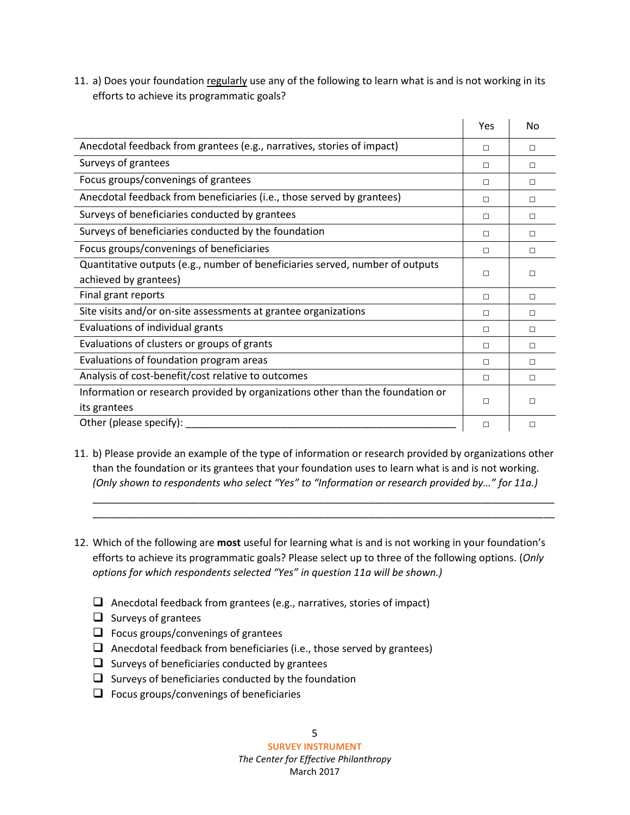11. a) Does your foundation regularly use any of the following to learn what is and is not working in its efforts to achieve its programmatic goals?

|                                                                                | Yes    | No     |
|--------------------------------------------------------------------------------|--------|--------|
| Anecdotal feedback from grantees (e.g., narratives, stories of impact)         | П      | П      |
| Surveys of grantees                                                            | П      | П      |
| Focus groups/convenings of grantees                                            | П      | П      |
| Anecdotal feedback from beneficiaries (i.e., those served by grantees)         | П      | П      |
| Surveys of beneficiaries conducted by grantees                                 | П      | П      |
| Surveys of beneficiaries conducted by the foundation                           | П      | П      |
| Focus groups/convenings of beneficiaries                                       | П      | П      |
| Quantitative outputs (e.g., number of beneficiaries served, number of outputs  | П      | П      |
| achieved by grantees)                                                          |        |        |
| Final grant reports                                                            | $\Box$ | П      |
| Site visits and/or on-site assessments at grantee organizations                | П      | П      |
| Evaluations of individual grants                                               | $\Box$ | П      |
| Evaluations of clusters or groups of grants                                    | $\Box$ | $\Box$ |
| Evaluations of foundation program areas                                        | $\Box$ | П      |
| Analysis of cost-benefit/cost relative to outcomes                             | $\Box$ | П      |
| Information or research provided by organizations other than the foundation or | п      | П      |
| its grantees                                                                   |        |        |
| Other (please specify):                                                        | $\Box$ | □      |

11. b) Please provide an example of the type of information or research provided by organizations other than the foundation or its grantees that your foundation uses to learn what is and is not working. *(Only shown to respondents who select "Yes" to "Information or research provided by…" for 11a.)*

\_\_\_\_\_\_\_\_\_\_\_\_\_\_\_\_\_\_\_\_\_\_\_\_\_\_\_\_\_\_\_\_\_\_\_\_\_\_\_\_\_\_\_\_\_\_\_\_\_\_\_\_\_\_\_\_\_\_\_\_\_\_\_\_\_\_\_\_\_\_\_\_\_\_\_\_\_\_\_\_\_\_ \_\_\_\_\_\_\_\_\_\_\_\_\_\_\_\_\_\_\_\_\_\_\_\_\_\_\_\_\_\_\_\_\_\_\_\_\_\_\_\_\_\_\_\_\_\_\_\_\_\_\_\_\_\_\_\_\_\_\_\_\_\_\_\_\_\_\_\_\_\_\_\_\_\_\_\_\_\_\_\_\_\_

- 12. Which of the following are **most** useful for learning what is and is not working in your foundation's efforts to achieve its programmatic goals? Please select up to three of the following options. (*Only options for which respondents selected "Yes" in question 11a will be shown.)*
	- $\Box$  Anecdotal feedback from grantees (e.g., narratives, stories of impact)
	- $\Box$  Surveys of grantees
	- $\Box$  Focus groups/convenings of grantees
	- $\Box$  Anecdotal feedback from beneficiaries (i.e., those served by grantees)
	- $\Box$  Surveys of beneficiaries conducted by grantees
	- $\Box$  Surveys of beneficiaries conducted by the foundation
	- $\Box$  Focus groups/convenings of beneficiaries

5

**SURVEY INSTRUMENT**

*The Center for Effective Philanthropy* March 2017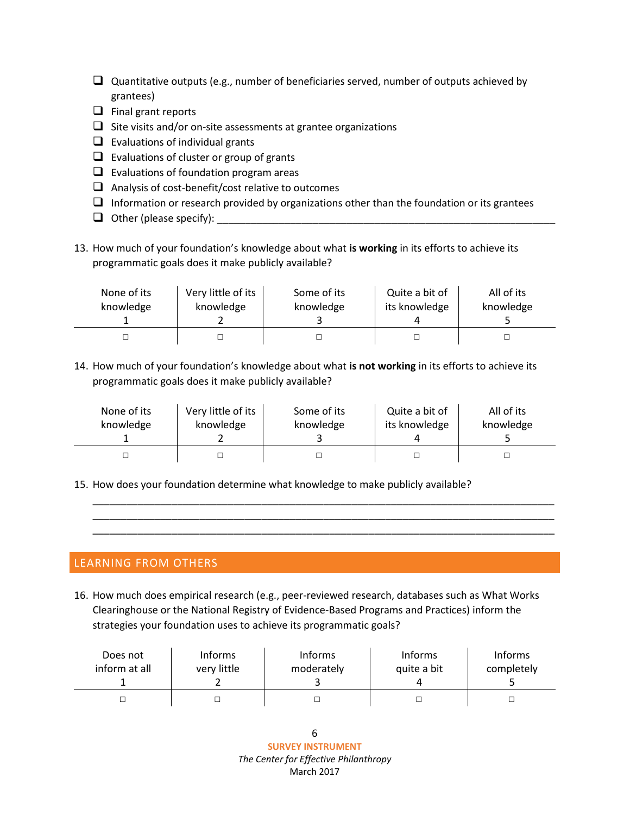- Quantitative outputs (e.g., number of beneficiaries served, number of outputs achieved by grantees)
- $\Box$  Final grant reports
- $\Box$  Site visits and/or on-site assessments at grantee organizations
- $\Box$  Evaluations of individual grants
- $\Box$  Evaluations of cluster or group of grants
- $\Box$  Evaluations of foundation program areas
- $\Box$  Analysis of cost-benefit/cost relative to outcomes
- $\Box$  Information or research provided by organizations other than the foundation or its grantees
- Other (please specify): \_\_\_\_\_\_\_\_\_\_\_\_\_\_\_\_\_\_\_\_\_\_\_\_\_\_\_\_\_\_\_\_\_\_\_\_\_\_\_\_\_\_\_\_\_\_\_\_\_\_\_\_\_\_\_\_\_\_\_\_
- 13. How much of your foundation's knowledge about what **is working** in its efforts to achieve its programmatic goals does it make publicly available?

| None of its | Very little of its | Some of its | Quite a bit of | All of its |
|-------------|--------------------|-------------|----------------|------------|
| knowledge   | knowledge          | knowledge   | its knowledge  | knowledge  |
|             |                    |             |                |            |

14. How much of your foundation's knowledge about what **is not working** in its efforts to achieve its programmatic goals does it make publicly available?

| None of its | Very little of its | Some of its | Quite a bit of | All of its |
|-------------|--------------------|-------------|----------------|------------|
| knowledge   | knowledge          | knowledge   | its knowledge  | knowledge  |
|             |                    |             |                |            |

\_\_\_\_\_\_\_\_\_\_\_\_\_\_\_\_\_\_\_\_\_\_\_\_\_\_\_\_\_\_\_\_\_\_\_\_\_\_\_\_\_\_\_\_\_\_\_\_\_\_\_\_\_\_\_\_\_\_\_\_\_\_\_\_\_\_\_\_\_\_\_\_\_\_\_\_\_\_\_\_\_\_ \_\_\_\_\_\_\_\_\_\_\_\_\_\_\_\_\_\_\_\_\_\_\_\_\_\_\_\_\_\_\_\_\_\_\_\_\_\_\_\_\_\_\_\_\_\_\_\_\_\_\_\_\_\_\_\_\_\_\_\_\_\_\_\_\_\_\_\_\_\_\_\_\_\_\_\_\_\_\_\_\_\_ \_\_\_\_\_\_\_\_\_\_\_\_\_\_\_\_\_\_\_\_\_\_\_\_\_\_\_\_\_\_\_\_\_\_\_\_\_\_\_\_\_\_\_\_\_\_\_\_\_\_\_\_\_\_\_\_\_\_\_\_\_\_\_\_\_\_\_\_\_\_\_\_\_\_\_\_\_\_\_\_\_\_

15. How does your foundation determine what knowledge to make publicly available?

### LEARNING FROM OTHERS

16. How much does empirical research (e.g., peer-reviewed research, databases such as What Works Clearinghouse or the National Registry of Evidence-Based Programs and Practices) inform the strategies your foundation uses to achieve its programmatic goals?

| Does not      | <b>Informs</b> | <b>Informs</b> | <b>Informs</b> | <b>Informs</b> |
|---------------|----------------|----------------|----------------|----------------|
| inform at all | very little    | moderately     | quite a bit    | completely     |
|               |                |                |                |                |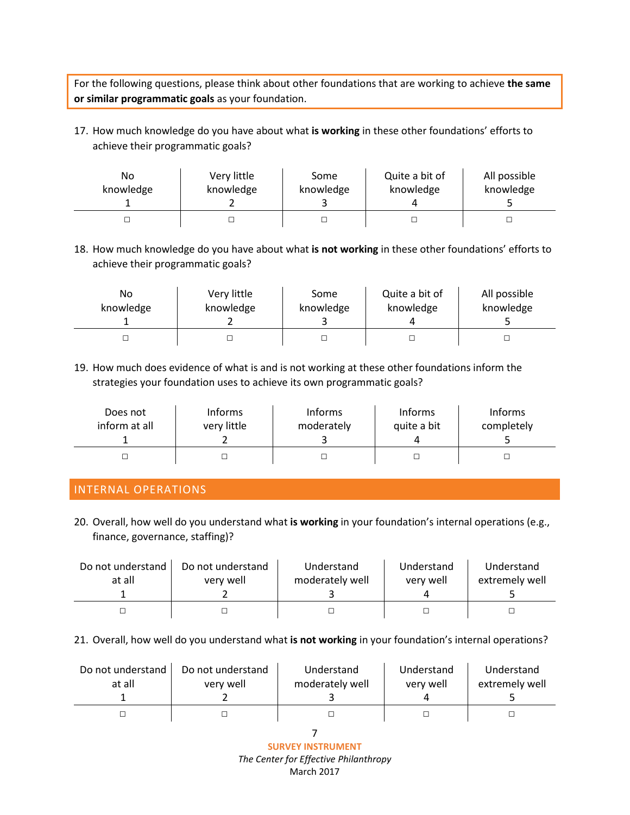For the following questions, please think about other foundations that are working to achieve **the same or similar programmatic goals** as your foundation.

17. How much knowledge do you have about what **is working** in these other foundations' efforts to achieve their programmatic goals?

| No        | Very little | Some      | Quite a bit of | All possible |
|-----------|-------------|-----------|----------------|--------------|
| knowledge | knowledge   | knowledge | knowledge      | knowledge    |
|           |             |           |                |              |

18. How much knowledge do you have about what **is not working** in these other foundations' efforts to achieve their programmatic goals?

| No        | Very little | Some      | Quite a bit of | All possible |
|-----------|-------------|-----------|----------------|--------------|
| knowledge | knowledge   | knowledge | knowledge      | knowledge    |
|           |             |           |                |              |

19. How much does evidence of what is and is not working at these other foundations inform the strategies your foundation uses to achieve its own programmatic goals?

| Does not      | Informs     | <b>Informs</b> | <b>Informs</b> | <b>Informs</b> |
|---------------|-------------|----------------|----------------|----------------|
| inform at all | very little | moderately     | quite a bit    | completely     |
|               |             |                |                |                |

## INTERNAL OPERATIONS

20. Overall, how well do you understand what **is working** in your foundation's internal operations (e.g., finance, governance, staffing)?

| Do not understand | Do not understand | Understand      | Understand | Understand     |
|-------------------|-------------------|-----------------|------------|----------------|
| at all            | very well         | moderately well | very well  | extremely well |
|                   |                   |                 |            |                |
|                   |                   |                 |            |                |

21. Overall, how well do you understand what **is not working** in your foundation's internal operations?

| Do not understand<br>at all | Do not understand<br>very well | Understand<br>moderately well | Understand<br>very well | Understand<br>extremely well |
|-----------------------------|--------------------------------|-------------------------------|-------------------------|------------------------------|
|                             |                                |                               |                         |                              |
|                             |                                |                               |                         |                              |

7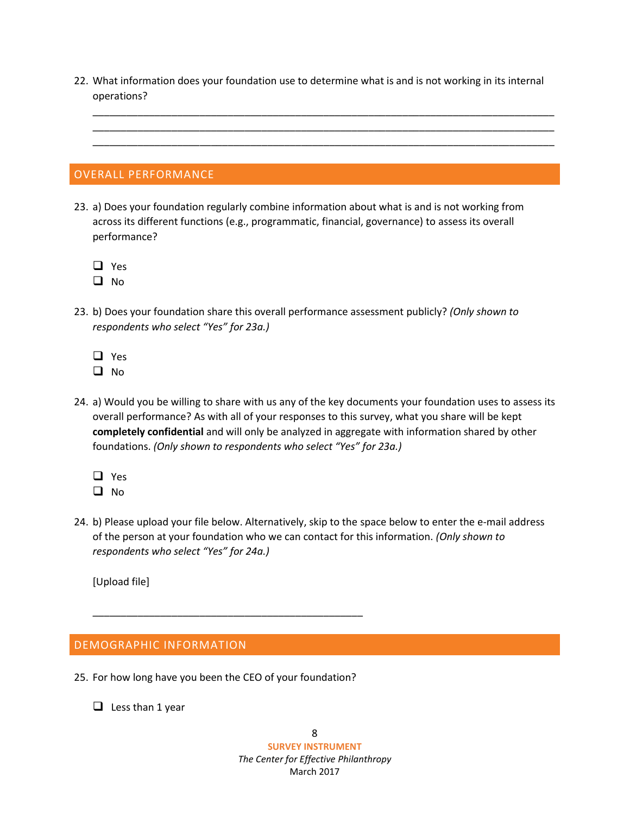22. What information does your foundation use to determine what is and is not working in its internal operations?

\_\_\_\_\_\_\_\_\_\_\_\_\_\_\_\_\_\_\_\_\_\_\_\_\_\_\_\_\_\_\_\_\_\_\_\_\_\_\_\_\_\_\_\_\_\_\_\_\_\_\_\_\_\_\_\_\_\_\_\_\_\_\_\_\_\_\_\_\_\_\_\_\_\_\_\_\_\_\_\_\_\_ \_\_\_\_\_\_\_\_\_\_\_\_\_\_\_\_\_\_\_\_\_\_\_\_\_\_\_\_\_\_\_\_\_\_\_\_\_\_\_\_\_\_\_\_\_\_\_\_\_\_\_\_\_\_\_\_\_\_\_\_\_\_\_\_\_\_\_\_\_\_\_\_\_\_\_\_\_\_\_\_\_\_ \_\_\_\_\_\_\_\_\_\_\_\_\_\_\_\_\_\_\_\_\_\_\_\_\_\_\_\_\_\_\_\_\_\_\_\_\_\_\_\_\_\_\_\_\_\_\_\_\_\_\_\_\_\_\_\_\_\_\_\_\_\_\_\_\_\_\_\_\_\_\_\_\_\_\_\_\_\_\_\_\_\_

#### OVERALL PERFORMANCE

- 23. a) Does your foundation regularly combine information about what is and is not working from across its different functions (e.g., programmatic, financial, governance) to assess its overall performance?
	- □ Yes
	- $\Box$  No
- 23. b) Does your foundation share this overall performance assessment publicly? *(Only shown to respondents who select "Yes" for 23a.)*
	- □ Yes
	- $\Box$  No
- 24. a) Would you be willing to share with us any of the key documents your foundation uses to assess its overall performance? As with all of your responses to this survey, what you share will be kept **completely confidential** and will only be analyzed in aggregate with information shared by other foundations. *(Only shown to respondents who select "Yes" for 23a.)*
	- □ Yes
	- $\Box$  No
- 24. b) Please upload your file below. Alternatively, skip to the space below to enter the e-mail address of the person at your foundation who we can contact for this information. *(Only shown to respondents who select "Yes" for 24a.)*

[Upload file]

#### DEMOGRAPHIC INFORMATION

25. For how long have you been the CEO of your foundation?

\_\_\_\_\_\_\_\_\_\_\_\_\_\_\_\_\_\_\_\_\_\_\_\_\_\_\_\_\_\_\_\_\_\_\_\_\_\_\_\_\_\_\_\_\_\_\_\_

 $\Box$  Less than 1 year